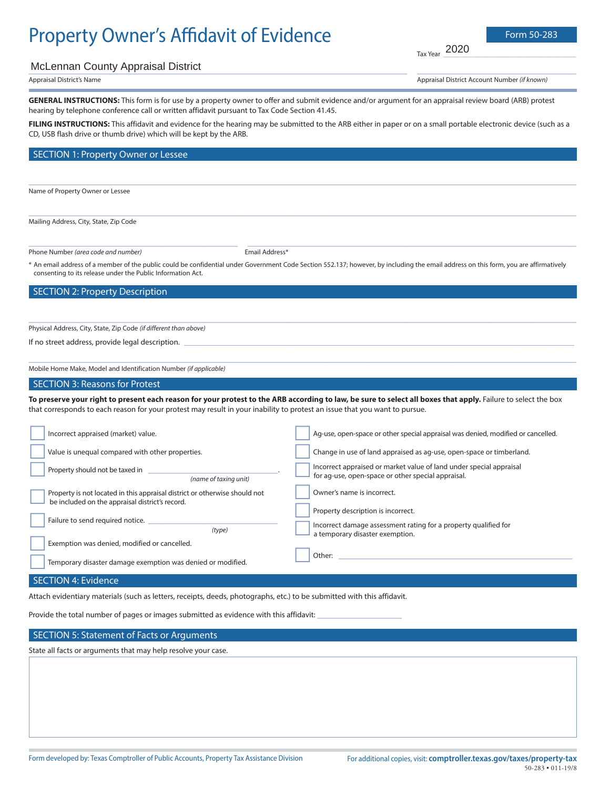# Property Owner's Affidavit of Evidence Form 50-283

Tax Year  $\overline{\phantom{a}}$ 2020

 $\frac{1}{2}$  ,  $\frac{1}{2}$  ,  $\frac{1}{2}$  ,  $\frac{1}{2}$  ,  $\frac{1}{2}$  ,  $\frac{1}{2}$  ,  $\frac{1}{2}$  ,  $\frac{1}{2}$  ,  $\frac{1}{2}$  ,  $\frac{1}{2}$  ,  $\frac{1}{2}$  ,  $\frac{1}{2}$  ,  $\frac{1}{2}$  ,  $\frac{1}{2}$  ,  $\frac{1}{2}$  ,  $\frac{1}{2}$  ,  $\frac{1}{2}$  ,  $\frac{1}{2}$  ,  $\frac{1$ 

## McLennan County Appraisal District<br>
McLennan County Appraisal District

Appraisal District's Name Appraisal District Account Number (if known) \_\_\_\_\_\_\_\_\_\_\_\_\_\_\_\_\_\_\_\_\_\_\_\_\_\_\_\_\_\_\_\_

**GENERAL INSTRUCTIONS:** This form is for use by a property owner to offer and submit evidence and/or argument for an appraisal review board (ARB) protest hearing by telephone conference call or written affidavit pursuant to Tax Code Section 41.45.

FILING INSTRUCTIONS: This affidavit and evidence for the hearing may be submitted to the ARB either in paper or on a small portable electronic device (such as a CD, USB flash drive or thumb drive) which will be kept by the ARB.

 $\_$  , and the set of the set of the set of the set of the set of the set of the set of the set of the set of the set of the set of the set of the set of the set of the set of the set of the set of the set of the set of th

 $\_$  , and the set of the set of the set of the set of the set of the set of the set of the set of the set of the set of the set of the set of the set of the set of the set of the set of the set of the set of the set of th

#### SECTION 1: Property Owner or Lessee

Name of Property Owner or Lessee

Mailing Address, City, State, Zip Code

Phone Number *(area code and number)* The Controllering of the Email Address\*

\* An email address of a member of the public could be confidential under Government Code Section 552.137; however, by including the email address on this form, you are affirmatively consenting to its release under the Public Information Act.

 $\_$  , and the set of the set of the set of the set of the set of the set of the set of the set of the set of the set of the set of the set of the set of the set of the set of the set of the set of the set of the set of th

 $\_$  , and the set of the set of the set of the set of the set of the set of the set of the set of the set of the set of the set of the set of the set of the set of the set of the set of the set of the set of the set of th

#### SECTION 2: Property Description

Physical Address, City, State, Zip Code (if different than above)

If no street address, provide legal description.

Mobile Home Make, Model and Identification Number (if applicable)

\_\_\_\_\_\_\_\_\_\_\_\_\_\_\_\_\_\_\_\_\_\_\_\_\_\_\_\_\_\_\_\_\_\_\_\_\_\_\_\_\_\_

#### SECTION 3: Reasons for Protest

To preserve your right to present each reason for your protest to the ARB according to law, be sure to select all boxes that apply. Failure to select the box that corresponds to each reason for your protest may result in your inability to protest an issue that you want to pursue.

| Incorrect appraised (market) value.                                                                                           | Aq-use, open-space or other special appraisal was denied, modified or cancelled.                                          |
|-------------------------------------------------------------------------------------------------------------------------------|---------------------------------------------------------------------------------------------------------------------------|
| Value is unequal compared with other properties.                                                                              | Change in use of land appraised as ag-use, open-space or timberland.                                                      |
| Property should not be taxed in<br>(name of taxing unit)                                                                      | Incorrect appraised or market value of land under special appraisal<br>for aq-use, open-space or other special appraisal. |
| Property is not located in this appraisal district or otherwise should not<br>be included on the appraisal district's record. | Owner's name is incorrect.                                                                                                |
| Failure to send required notice.<br>(type)                                                                                    | Property description is incorrect.<br>Incorrect damage assessment rating for a property qualified for                     |
| Exemption was denied, modified or cancelled.                                                                                  | a temporary disaster exemption.                                                                                           |
| Temporary disaster damage exemption was denied or modified.                                                                   | Other:                                                                                                                    |
|                                                                                                                               |                                                                                                                           |

#### SECTION 4: Evidence

Attach evidentiary materials (such as letters, receipts, deeds, photographs, etc.) to be submitted with this affidavit.

Provide the total number of pages or images submitted as evidence with this affidavit:

#### SECTION 5: Statement of Facts or Arguments

State all facts or arguments that may help resolve your case.